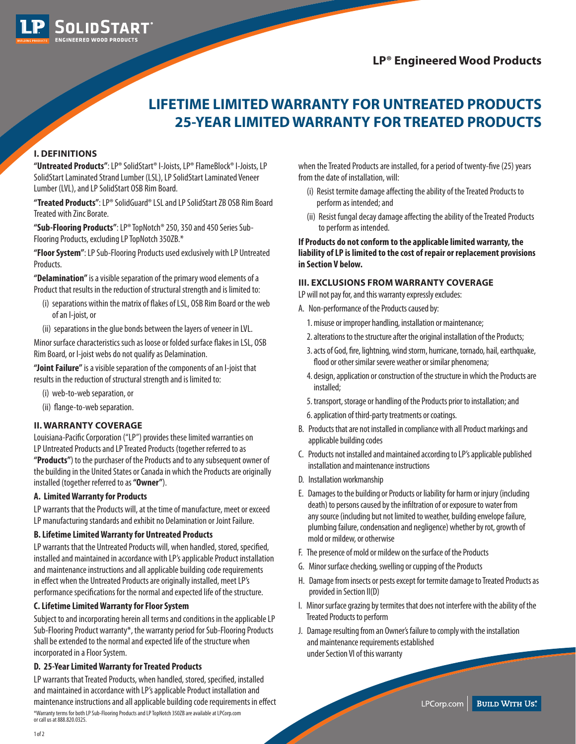**LP® Engineered Wood Products**



## **LIFETIME LIMITED WARRANTY FOR UNTREATED PRODUCTS 25-YEAR LIMITED WARRANTY FOR TREATED PRODUCTS**

## **I. DEFINITIONS**

**"Untreated Products"**: LP® SolidStart® I-Joists, LP® FlameBlock® I-Joists, LP SolidStart Laminated Strand Lumber (LSL), LP SolidStart Laminated Veneer Lumber (LVL), and LP SolidStart OSB Rim Board.

**"Treated Products"**: LP® SolidGuard® LSL and LP SolidStart ZB OSB Rim Board Treated with Zinc Borate.

**"Sub-Flooring Products"**: LP® TopNotch® 250, 350 and 450 Series Sub-Flooring Products, excluding LP TopNotch 350ZB.\*

**"Floor System"**: LP Sub-Flooring Products used exclusively with LP Untreated Products.

**"Delamination"** is a visible separation of the primary wood elements of a Product that results in the reduction of structural strength and is limited to:

- (i) separations within the matrix of flakes of LSL, OSB Rim Board or the web of an I-joist, or
- (ii) separations in the glue bonds between the layers of veneer in LVL.

Minor surface characteristics such as loose or folded surface flakes in LSL, OSB Rim Board, or I-joist webs do not qualify as Delamination.

**"Joint Failure"** is a visible separation of the components of an I-joist that results in the reduction of structural strength and is limited to:

(i) web-to-web separation, or

(ii) flange-to-web separation.

## **II. WARRANTY COVERAGE**

Louisiana-Pacific Corporation ("LP") provides these limited warranties on LP Untreated Products and LP Treated Products (together referred to as **"Products"**) to the purchaser of the Products and to any subsequent owner of the building in the United States or Canada in which the Products are originally installed (together referred to as **"Owner"**).

### **A. Limited Warranty for Products**

LP warrants that the Products will, at the time of manufacture, meet or exceed LP manufacturing standards and exhibit no Delamination or Joint Failure.

### **B. Lifetime Limited Warranty for Untreated Products**

LP warrants that the Untreated Products will, when handled, stored, specified, installed and maintained in accordance with LP's applicable Product installation and maintenance instructions and all applicable building code requirements in effect when the Untreated Products are originally installed, meet LP's performance specifications for the normal and expected life of the structure.

## **C. Lifetime Limited Warranty for Floor System**

Subject to and incorporating herein all terms and conditions in the applicable LP Sub-Flooring Product warranty\*, the warranty period for Sub-Flooring Products shall be extended to the normal and expected life of the structure when incorporated in a Floor System.

## **D. 25-Year Limited Warranty for Treated Products**

LP warrants that Treated Products, when handled, stored, specified, installed and maintained in accordance with LP's applicable Product installation and maintenance instructions and all applicable building code requirements in effect \*Warranty terms for both LP Sub-Flooring Products and LP TopNotch 350ZB are available at LPCorp.com or call us at 888.820.0325.

when the Treated Products are installed, for a period of twenty-five (25) years from the date of installation, will:

- (i) Resist termite damage affecting the ability of the Treated Products to perform as intended; and
- (ii) Resist fungal decay damage affecting the ability of the Treated Products to perform as intended.

**If Products do not conform to the applicable limited warranty, the liability of LP is limited to the cost of repair or replacement provisions in Section V below.**

### **III. EXCLUSIONS FROM WARRANTY COVERAGE**

LP will not pay for, and this warranty expressly excludes:

- A. Non-performance of the Products caused by:
	- 1. misuse or improper handling, installation or maintenance;
	- 2. alterations to the structure after the original installation of the Products;
	- 3. acts of God, fire, lightning, wind storm, hurricane, tornado, hail, earthquake, flood or other similar severe weather or similar phenomena;
	- 4. design, application or construction of the structure in which the Products are installed;
	- 5. transport, storage or handling of the Products prior to installation; and
	- 6. application of third-party treatments or coatings.
- B. Products that are not installed in compliance with all Product markings and applicable building codes
- C. Products not installed and maintained according to LP's applicable published installation and maintenance instructions
- D. Installation workmanship
- E. Damages to the building or Products or liability for harm or injury (including death) to persons caused by the infiltration of or exposure to water from any source (including but not limited to weather, building envelope failure, plumbing failure, condensation and negligence) whether by rot, growth of mold or mildew, or otherwise
- F. The presence of mold or mildew on the surface of the Products
- G. Minor surface checking, swelling or cupping of the Products
- H. Damage from insects or pests except for termite damage to Treated Products as provided in Section II(D)
- I. Minor surface grazing by termites that does not interfere with the ability of the Treated Products to perform
- J. Damage resulting from an Owner's failure to comply with the installation and maintenance requirements established under Section VI of this warranty